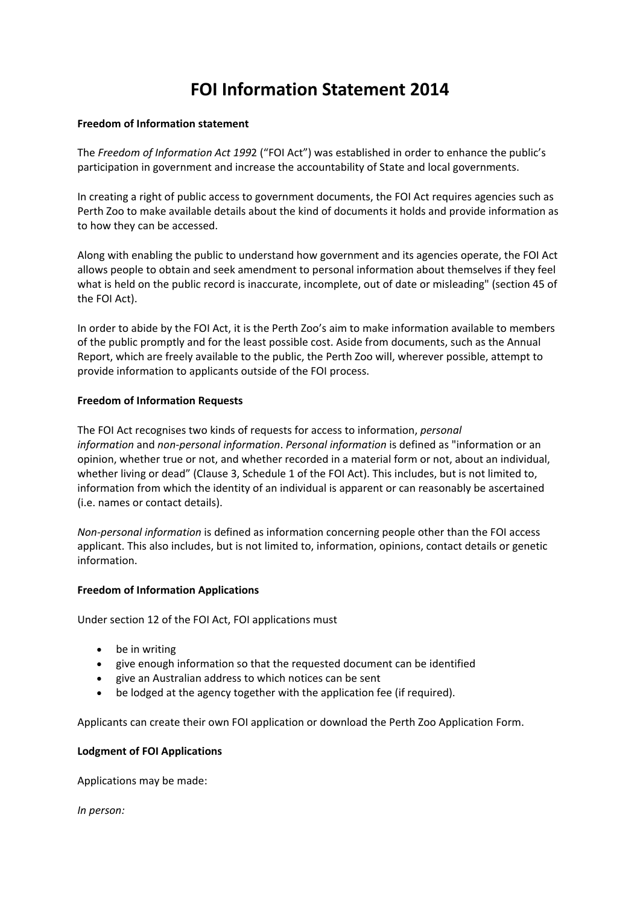# **FOI Information Statement 2014**

#### **Freedom of Information statement**

The *Freedom of Information Act 199*2 ("FOI Act") was established in order to enhance the public's participation in government and increase the accountability of State and local governments.

In creating a right of public access to government documents, the FOI Act requires agencies such as Perth Zoo to make available details about the kind of documents it holds and provide information as to how they can be accessed.

Along with enabling the public to understand how government and its agencies operate, the FOI Act allows people to obtain and seek amendment to personal information about themselves if they feel what is held on the public record is inaccurate, incomplete, out of date or misleading" (section 45 of the FOI Act).

In order to abide by the FOI Act, it is the Perth Zoo's aim to make information available to members of the public promptly and for the least possible cost. Aside from documents, such as the Annual Report, which are freely available to the public, the Perth Zoo will, wherever possible, attempt to provide information to applicants outside of the FOI process.

# **Freedom of Information Requests**

The FOI Act recognises two kinds of requests for access to information, *personal information* and *non-personal information*. *Personal information* is defined as "information or an opinion, whether true or not, and whether recorded in a material form or not, about an individual, whether living or dead" (Clause 3, Schedule 1 of the FOI Act). This includes, but is not limited to, information from which the identity of an individual is apparent or can reasonably be ascertained (i.e. names or contact details).

*Non-personal information* is defined as information concerning people other than the FOI access applicant. This also includes, but is not limited to, information, opinions, contact details or genetic information.

# **Freedom of Information Applications**

Under section 12 of the FOI Act, FOI applications must

- be in writing
- give enough information so that the requested document can be identified
- give an Australian address to which notices can be sent
- be lodged at the agency together with the application fee (if required).

Applicants can create their own FOI application or download the Perth Zoo Application Form.

#### **Lodgment of FOI Applications**

Applications may be made:

*In person:*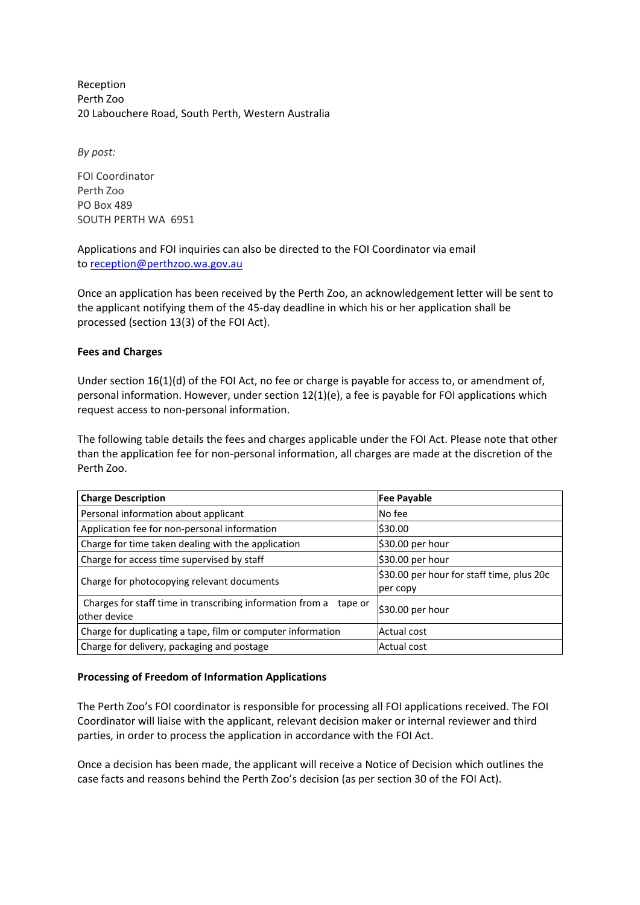Reception Perth Zoo 20 Labouchere Road, South Perth, Western Australia

*By post:*

FOI Coordinator Perth Zoo PO Box 489 SOUTH PERTH WA 6951

Applications and FOI inquiries can also be directed to the FOI Coordinator via email to [reception@perthzoo.wa.gov.au](mailto:reception@perthzoo.wa.gov.au)

Once an application has been received by the Perth Zoo, an acknowledgement letter will be sent to the applicant notifying them of the 45-day deadline in which his or her application shall be processed (section 13(3) of the FOI Act).

# **Fees and Charges**

Under section 16(1)(d) of the FOI Act, no fee or charge is payable for access to, or amendment of, personal information. However, under section 12(1)(e), a fee is payable for FOI applications which request access to non-personal information.

The following table details the fees and charges applicable under the FOI Act. Please note that other than the application fee for non-personal information, all charges are made at the discretion of the Perth Zoo.

| <b>Charge Description</b>                                                            | <b>Fee Payable</b>                                    |
|--------------------------------------------------------------------------------------|-------------------------------------------------------|
| Personal information about applicant                                                 | No fee                                                |
| Application fee for non-personal information                                         | \$30.00                                               |
| Charge for time taken dealing with the application                                   | $\frac{1}{2}30.00$ per hour                           |
| Charge for access time supervised by staff                                           | $\frac{1}{2}30.00$ per hour                           |
| Charge for photocopying relevant documents                                           | \$30.00 per hour for staff time, plus 20c<br>per copy |
| Charges for staff time in transcribing information from a<br>tape or<br>other device | \$30.00 per hour                                      |
| Charge for duplicating a tape, film or computer information                          | Actual cost                                           |
| Charge for delivery, packaging and postage                                           | Actual cost                                           |

# **Processing of Freedom of Information Applications**

The Perth Zoo's FOI coordinator is responsible for processing all FOI applications received. The FOI Coordinator will liaise with the applicant, relevant decision maker or internal reviewer and third parties, in order to process the application in accordance with the FOI Act.

Once a decision has been made, the applicant will receive a Notice of Decision which outlines the case facts and reasons behind the Perth Zoo's decision (as per section 30 of the FOI Act).